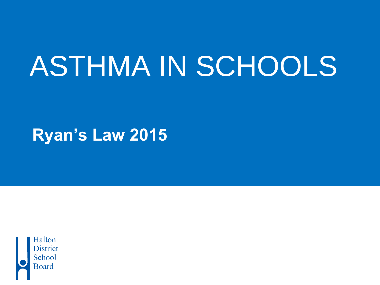# ASTHMA IN SCHOOLS

**Ryan's Law 2015**

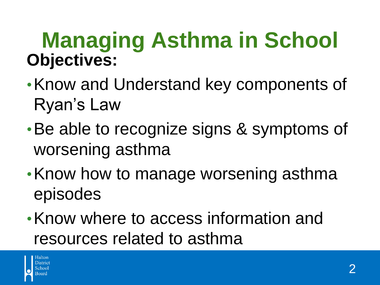#### **Managing Asthma in School Objectives:**

- •Know and Understand key components of Ryan's Law
- •Be able to recognize signs & symptoms of worsening asthma
- •Know how to manage worsening asthma episodes
- •Know where to access information and resources related to asthma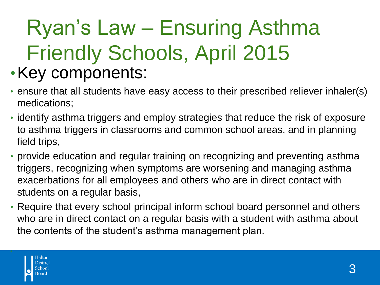#### Ryan's Law – Ensuring Asthma Friendly Schools, April 2015 •Key components:

- ensure that all students have easy access to their prescribed reliever inhaler(s) medications;
- identify asthma triggers and employ strategies that reduce the risk of exposure to asthma triggers in classrooms and common school areas, and in planning field trips,
- provide education and regular training on recognizing and preventing asthma triggers, recognizing when symptoms are worsening and managing asthma exacerbations for all employees and others who are in direct contact with students on a regular basis,
- Require that every school principal inform school board personnel and others who are in direct contact on a regular basis with a student with asthma about the contents of the student's asthma management plan.

•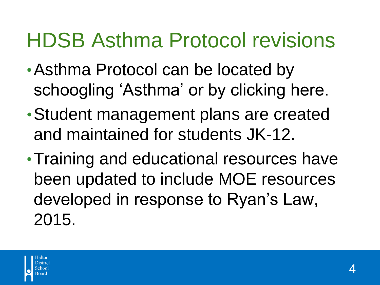#### HDSB Asthma Protocol revisions

- •Asthma Protocol can be located by schoogling 'Asthma' or by clicking here.
- •Student management plans are created and maintained for students JK-12.
- •Training and educational resources have been updated to include MOE resources developed in response to Ryan's Law, 2015.

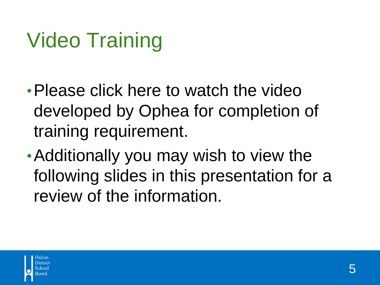#### Video Training

- Please click here to watch the video developed by Ophea for completion of training requirement.
- •Additionally you may wish to view the following slides in this presentation for a review of the information.

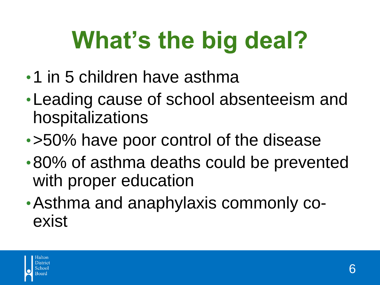# **What's the big deal?**

- •1 in 5 children have asthma
- •Leading cause of school absenteeism and hospitalizations
- •>50% have poor control of the disease
- •80% of asthma deaths could be prevented with proper education
- •Asthma and anaphylaxis commonly coexist

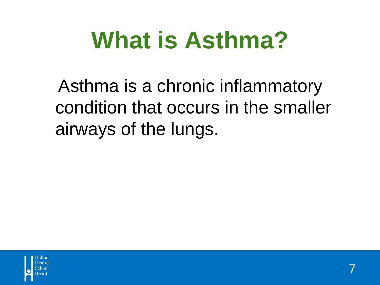#### **What is Asthma?**

Asthma is a chronic inflammatory condition that occurs in the smaller airways of the lungs.

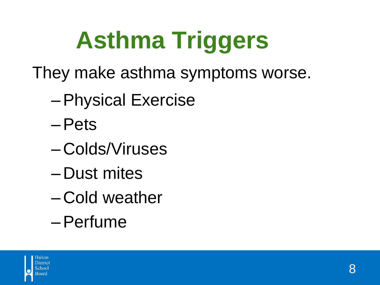# **Asthma Triggers**

- They make asthma symptoms worse.
	- –Physical Exercise
	- –Pets
	- Colds/Viruses
	- Dust mites
	- Cold weather
	- –Perfume

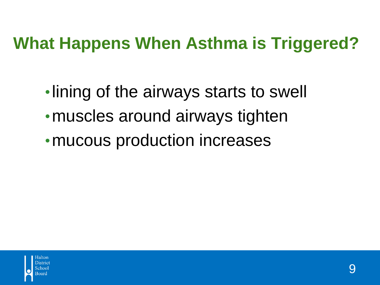#### **What Happens When Asthma is Triggered?**

•lining of the airways starts to swell • muscles around airways tighten • mucous production increases

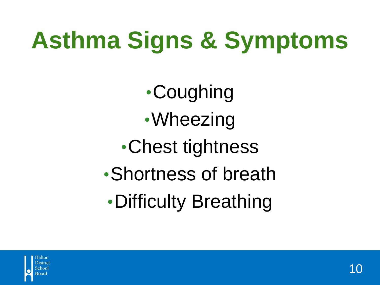# **Asthma Signs & Symptoms**

•Coughing •Wheezing •Chest tightness •Shortness of breath •Difficulty Breathing

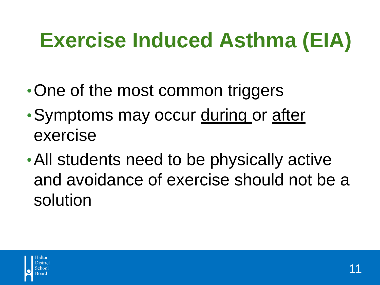#### **Exercise Induced Asthma (EIA)**

- One of the most common triggers
- Symptoms may occur during or after exercise
- •All students need to be physically active and avoidance of exercise should not be a solution

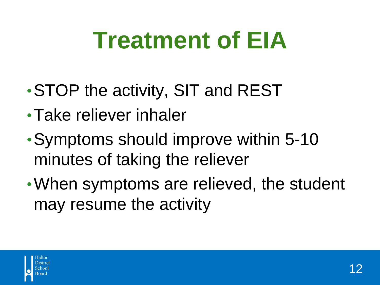#### **Treatment of EIA**

- •STOP the activity, SIT and REST
- •Take reliever inhaler
- •Symptoms should improve within 5-10 minutes of taking the reliever
- •When symptoms are relieved, the student may resume the activity

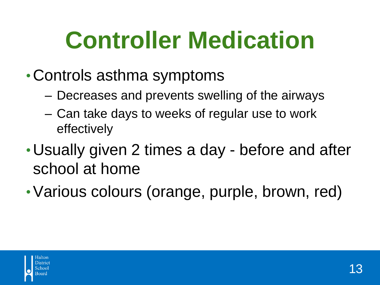## **Controller Medication**

- •Controls asthma symptoms
	- Decreases and prevents swelling of the airways
	- Can take days to weeks of regular use to work effectively
- •Usually given 2 times a day before and after school at home
- •Various colours (orange, purple, brown, red)

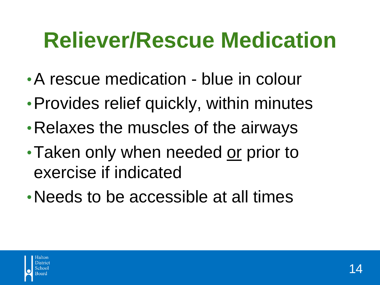#### **Reliever/Rescue Medication**

- •A rescue medication blue in colour
- Provides relief quickly, within minutes
- •Relaxes the muscles of the airways
- •Taken only when needed or prior to exercise if indicated
- •Needs to be accessible at all times

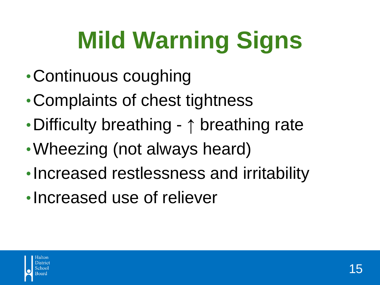# **Mild Warning Signs**

- •Continuous coughing
- •Complaints of chest tightness
- •Difficulty breathing ↑ breathing rate
- •Wheezing (not always heard)
- •Increased restlessness and irritability
- •Increased use of reliever

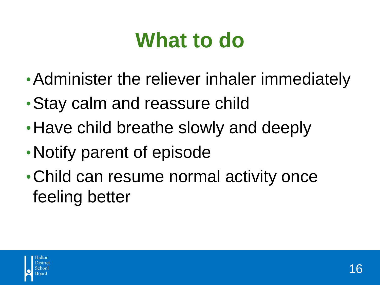#### **What to do**

- •Administer the reliever inhaler immediately
- •Stay calm and reassure child
- •Have child breathe slowly and deeply
- •Notify parent of episode
- •Child can resume normal activity once feeling better

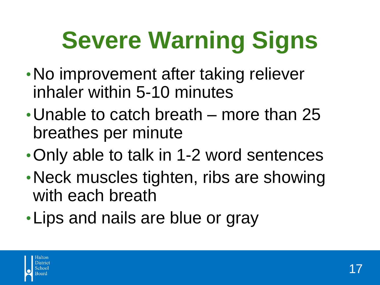# **Severe Warning Signs**

- •No improvement after taking reliever inhaler within 5-10 minutes
- •Unable to catch breath more than 25 breathes per minute
- •Only able to talk in 1-2 word sentences
- •Neck muscles tighten, ribs are showing with each breath
- •Lips and nails are blue or gray

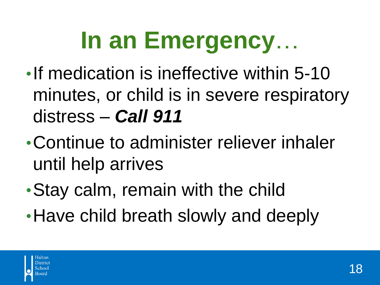## **In an Emergency**…

- •If medication is ineffective within 5-10 minutes, or child is in severe respiratory distress – *Call 911*
- •Continue to administer reliever inhaler until help arrives
- •Stay calm, remain with the child
- •Have child breath slowly and deeply

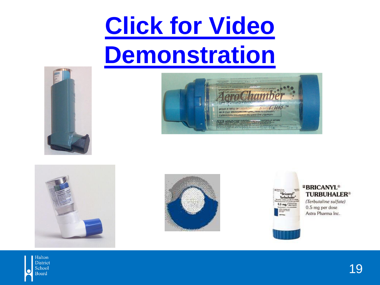#### **Click for Video [Demonstration](http://www.lung.ca/lung-health/get-help/how-use-your-inhaler)**











#### *BRICANYL®* **TURBUHALER®**

(Terbutaline sulfate) 0.5 mg per dose Astra Pharma Inc.

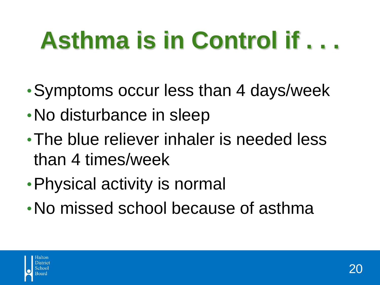# **Asthma is in Control if . . .**

- •Symptoms occur less than 4 days/week
- No disturbance in sleep
- •The blue reliever inhaler is needed less than 4 times/week
- •Physical activity is normal
- •No missed school because of asthma